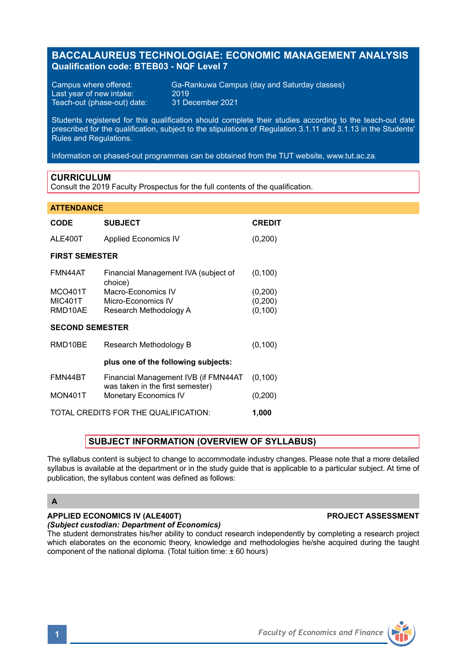# **BACCALAUREUS TECHNOLOGIAE: ECONOMIC MANAGEMENT ANALYSIS Qualification code: BTEB03 - NQF Level 7**

Last year of new intake: 2019<br>Teach-out (phase-out) date: 31 December 2021 Teach-out (phase-out) date:

Campus where offered: Ga-Rankuwa Campus (day and Saturday classes)<br>Last vear of new intake: 2019

Students registered for this qualification should complete their studies according to the teach-out date prescribed for the qualification, subject to the stipulations of Regulation 3.1.11 and 3.1.13 in the Students' Rules and Regulations.

Information on phased-out programmes can be obtained from the TUT website, www.tut.ac.za.

## **CURRICULUM**

Consult the 2019 Faculty Prospectus for the full contents of the qualification.

### **ATTENDANCE**

| <b>CODE</b>                          | <b>SUBJECT</b>                                                           | <b>CREDIT</b> |
|--------------------------------------|--------------------------------------------------------------------------|---------------|
| ALE400T                              | <b>Applied Economics IV</b>                                              | (0,200)       |
| <b>FIRST SEMESTER</b>                |                                                                          |               |
| FMN44AT                              | Financial Management IVA (subject of<br>choice)                          | (0, 100)      |
| <b>MCO401T</b>                       | Macro-Economics IV                                                       | (0, 200)      |
| <b>MIC401T</b>                       | Micro-Economics IV                                                       | (0, 200)      |
| RMD10AE                              | Research Methodology A                                                   | (0, 100)      |
| <b>SECOND SEMESTER</b>               |                                                                          |               |
| RMD10BE                              | Research Methodology B                                                   | (0, 100)      |
| plus one of the following subjects:  |                                                                          |               |
| FMN44BT                              | Financial Management IVB (if FMN44AT<br>was taken in the first semester) | (0, 100)      |
| MON401T                              | <b>Monetary Economics IV</b>                                             | (0,200)       |
| TOTAL CREDITS FOR THE QUALIFICATION: |                                                                          |               |

## **SUBJECT INFORMATION (OVERVIEW OF SYLLABUS)**

The syllabus content is subject to change to accommodate industry changes. Please note that a more detailed syllabus is available at the department or in the study guide that is applicable to a particular subject. At time of publication, the syllabus content was defined as follows:

# **A**

# **APPLIED ECONOMICS IV (ALE400T) PROJECT ASSESSMENT**

*(Subject custodian: Department of Economics)*

The student demonstrates his/her ability to conduct research independently by completing a research project which elaborates on the economic theory, knowledge and methodologies he/she acquired during the taught component of the national diploma. (Total tuition time: ± 60 hours)